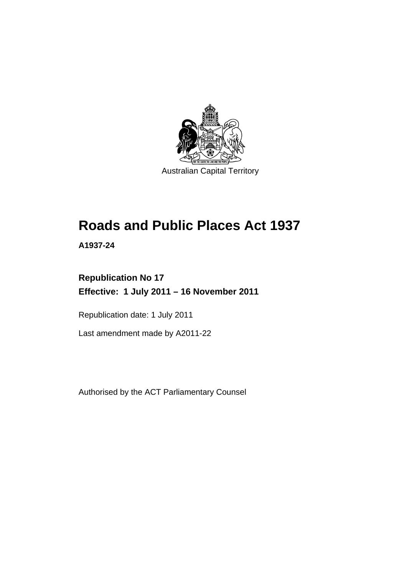

# **Roads and Public Places Act 1937**

**A1937-24** 

# **Republication No 17 Effective: 1 July 2011 – 16 November 2011**

Republication date: 1 July 2011

Last amendment made by A2011-22

Authorised by the ACT Parliamentary Counsel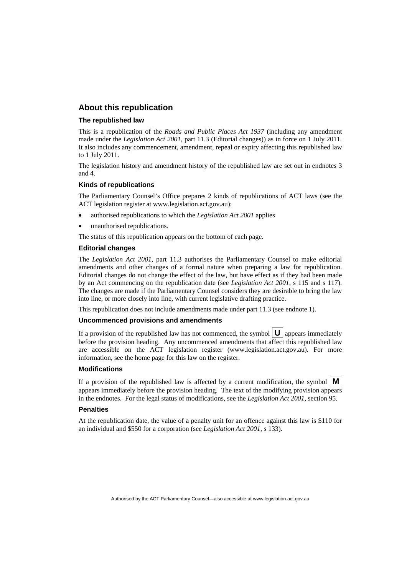#### **About this republication**

#### **The republished law**

This is a republication of the *Roads and Public Places Act 1937* (including any amendment made under the *Legislation Act 2001*, part 11.3 (Editorial changes)) as in force on 1 July 2011*.*  It also includes any commencement, amendment, repeal or expiry affecting this republished law to 1 July 2011.

The legislation history and amendment history of the republished law are set out in endnotes 3 and 4.

#### **Kinds of republications**

The Parliamentary Counsel's Office prepares 2 kinds of republications of ACT laws (see the ACT legislation register at www.legislation.act.gov.au):

- authorised republications to which the *Legislation Act 2001* applies
- unauthorised republications.

The status of this republication appears on the bottom of each page.

#### **Editorial changes**

The *Legislation Act 2001*, part 11.3 authorises the Parliamentary Counsel to make editorial amendments and other changes of a formal nature when preparing a law for republication. Editorial changes do not change the effect of the law, but have effect as if they had been made by an Act commencing on the republication date (see *Legislation Act 2001*, s 115 and s 117). The changes are made if the Parliamentary Counsel considers they are desirable to bring the law into line, or more closely into line, with current legislative drafting practice.

This republication does not include amendments made under part 11.3 (see endnote 1).

#### **Uncommenced provisions and amendments**

If a provision of the republished law has not commenced, the symbol  $\mathbf{U}$  appears immediately before the provision heading. Any uncommenced amendments that affect this republished law are accessible on the ACT legislation register (www.legislation.act.gov.au). For more information, see the home page for this law on the register.

#### **Modifications**

If a provision of the republished law is affected by a current modification, the symbol  $\vert \mathbf{M} \vert$ appears immediately before the provision heading. The text of the modifying provision appears in the endnotes. For the legal status of modifications, see the *Legislation Act 2001*, section 95.

#### **Penalties**

At the republication date, the value of a penalty unit for an offence against this law is \$110 for an individual and \$550 for a corporation (see *Legislation Act 2001*, s 133).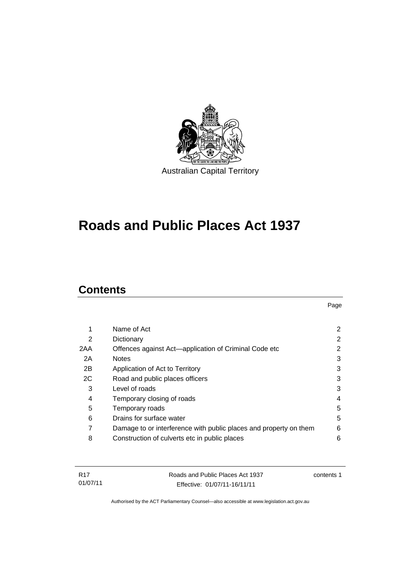

# **Roads and Public Places Act 1937**

# **Contents**

| 1   | Name of Act                                                       | 2 |
|-----|-------------------------------------------------------------------|---|
| 2   | Dictionary                                                        | 2 |
| 2AA | Offences against Act-application of Criminal Code etc             | 2 |
| 2A  | <b>Notes</b>                                                      | 3 |
| 2B  | Application of Act to Territory                                   | 3 |
| 2C  | Road and public places officers                                   | 3 |
| 3   | Level of roads                                                    | 3 |
| 4   | Temporary closing of roads                                        | 4 |
| 5   | Temporary roads                                                   | 5 |
| 6   | Drains for surface water                                          | 5 |
| 7   | Damage to or interference with public places and property on them | 6 |
| 8   | Construction of culverts etc in public places                     | 6 |
|     |                                                                   |   |

| R17      | Roads and Public Places Act 1937 | contents 1 |
|----------|----------------------------------|------------|
| 01/07/11 | Effective: 01/07/11-16/11/11     |            |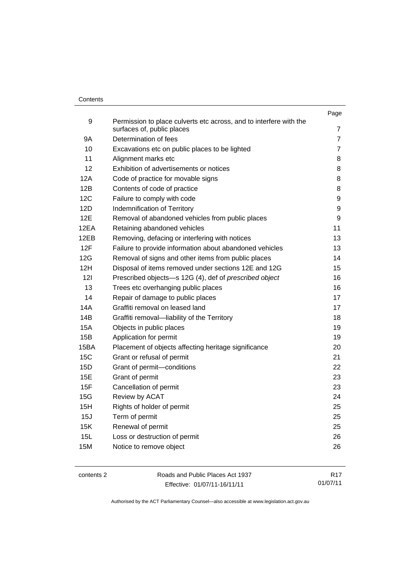#### **Contents**

|            |                                                                                                  | Page           |
|------------|--------------------------------------------------------------------------------------------------|----------------|
| 9          | Permission to place culverts etc across, and to interfere with the<br>surfaces of, public places | 7              |
| 9Α         | Determination of fees                                                                            | $\overline{7}$ |
| 10         | Excavations etc on public places to be lighted                                                   | $\overline{7}$ |
| 11         | Alignment marks etc                                                                              | 8              |
| 12         | Exhibition of advertisements or notices                                                          | 8              |
| 12A        | Code of practice for movable signs                                                               | 8              |
| 12B        | Contents of code of practice                                                                     | 8              |
| 12C        | Failure to comply with code                                                                      | 9              |
| 12D        | Indemnification of Territory                                                                     | 9              |
| 12E        | Removal of abandoned vehicles from public places                                                 | 9              |
| 12EA       | Retaining abandoned vehicles                                                                     | 11             |
| 12EB       | Removing, defacing or interfering with notices                                                   | 13             |
| 12F        | Failure to provide information about abandoned vehicles                                          | 13             |
| 12G        | Removal of signs and other items from public places                                              | 14             |
| 12H        | Disposal of items removed under sections 12E and 12G                                             | 15             |
| 121        | Prescribed objects-s 12G (4), def of prescribed object                                           | 16             |
| 13         | Trees etc overhanging public places                                                              | 16             |
| 14         | Repair of damage to public places                                                                | 17             |
| 14A        | Graffiti removal on leased land                                                                  | 17             |
| 14B        | Graffiti removal-liability of the Territory                                                      | 18             |
| <b>15A</b> | Objects in public places                                                                         | 19             |
| 15B        | Application for permit                                                                           | 19             |
| 15BA       | Placement of objects affecting heritage significance                                             | 20             |
| 15C        | Grant or refusal of permit                                                                       | 21             |
| 15D        | Grant of permit-conditions                                                                       | 22             |
| 15E        | Grant of permit                                                                                  | 23             |
| 15F        | Cancellation of permit                                                                           | 23             |
| 15G        | Review by ACAT                                                                                   | 24             |
| 15H        | Rights of holder of permit                                                                       | 25             |
| 15J        | Term of permit                                                                                   | 25             |
| 15K        | Renewal of permit                                                                                | 25             |
| 15L        | Loss or destruction of permit                                                                    | 26             |
| 15M        | Notice to remove object                                                                          | 26             |
|            |                                                                                                  |                |

| contents 2 | Roads and Public Places Act 1937 | R <sub>17</sub> |
|------------|----------------------------------|-----------------|
|            | Effective: 01/07/11-16/11/11     | 01/07/11        |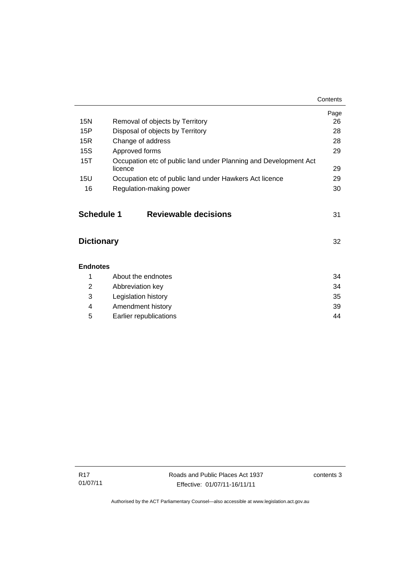|                   |                                                                             | Contents |
|-------------------|-----------------------------------------------------------------------------|----------|
|                   |                                                                             | Page     |
| 15N               | Removal of objects by Territory                                             | 26       |
| 15P               | Disposal of objects by Territory                                            | 28       |
| 15R               | Change of address                                                           | 28       |
| <b>15S</b>        | Approved forms                                                              | 29       |
| 15T               | Occupation etc of public land under Planning and Development Act<br>licence | 29       |
| 15U               | Occupation etc of public land under Hawkers Act licence                     | 29       |
| 16                | Regulation-making power                                                     | 30       |
| <b>Schedule 1</b> | <b>Reviewable decisions</b>                                                 | 31       |
| <b>Dictionary</b> |                                                                             | 32       |
| <b>Endnotes</b>   |                                                                             |          |
| 1                 | About the endnotes                                                          | 34       |
| $\overline{2}$    | Abbreviation key                                                            | 34       |
| 3                 | Legislation history                                                         | 35       |
| 4                 | Amendment history                                                           | 39       |

5 [Earlier republications 44](#page-49-0)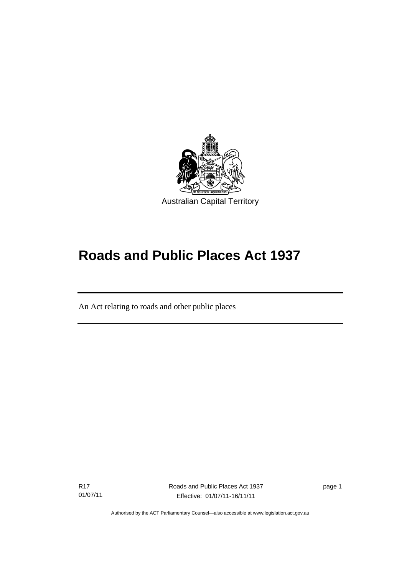

# **Roads and Public Places Act 1937**

An Act relating to roads and other public places

R17 01/07/11

l

Roads and Public Places Act 1937 Effective: 01/07/11-16/11/11

page 1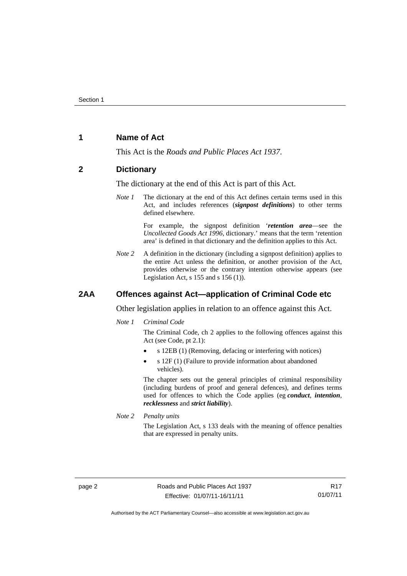### <span id="page-7-0"></span>**1 Name of Act**

This Act is the *Roads and Public Places Act 1937*.

#### <span id="page-7-1"></span>**2 Dictionary**

The dictionary at the end of this Act is part of this Act.

*Note 1* The dictionary at the end of this Act defines certain terms used in this Act, and includes references (*signpost definitions*) to other terms defined elsewhere.

> For example, the signpost definition '*retention area*—see the *Uncollected Goods Act 1996*, dictionary.' means that the term 'retention area' is defined in that dictionary and the definition applies to this Act.

*Note* 2 A definition in the dictionary (including a signpost definition) applies to the entire Act unless the definition, or another provision of the Act, provides otherwise or the contrary intention otherwise appears (see Legislation Act, s  $155$  and s  $156$  (1)).

#### <span id="page-7-2"></span>**2AA Offences against Act—application of Criminal Code etc**

Other legislation applies in relation to an offence against this Act.

#### *Note 1 Criminal Code*

The Criminal Code, ch 2 applies to the following offences against this Act (see Code, pt 2.1):

- s 12EB (1) (Removing, defacing or interfering with notices)
- s 12F (1) (Failure to provide information about abandoned vehicles).

The chapter sets out the general principles of criminal responsibility (including burdens of proof and general defences), and defines terms used for offences to which the Code applies (eg *conduct*, *intention*, *recklessness* and *strict liability*).

*Note 2 Penalty units* 

The Legislation Act, s 133 deals with the meaning of offence penalties that are expressed in penalty units.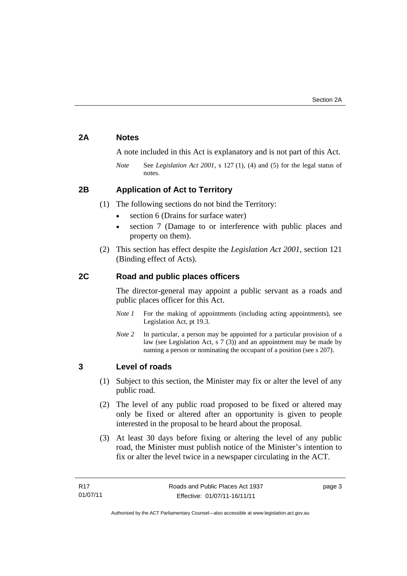# <span id="page-8-0"></span>**2A Notes**

A note included in this Act is explanatory and is not part of this Act.

*Note* See *Legislation Act 2001*, s 127 (1), (4) and (5) for the legal status of notes.

# <span id="page-8-1"></span>**2B Application of Act to Territory**

- (1) The following sections do not bind the Territory:
	- section 6 (Drains for surface water)
	- section 7 (Damage to or interference with public places and property on them).
- (2) This section has effect despite the *Legislation Act 2001*, section 121 (Binding effect of Acts).

# <span id="page-8-2"></span>**2C Road and public places officers**

The director-general may appoint a public servant as a roads and public places officer for this Act.

- *Note 1* For the making of appointments (including acting appointments), see Legislation Act, pt 19.3.
- *Note 2* In particular, a person may be appointed for a particular provision of a law (see Legislation Act, s  $7(3)$ ) and an appointment may be made by naming a person or nominating the occupant of a position (see s 207).

# <span id="page-8-3"></span>**3 Level of roads**

- (1) Subject to this section, the Minister may fix or alter the level of any public road.
- (2) The level of any public road proposed to be fixed or altered may only be fixed or altered after an opportunity is given to people interested in the proposal to be heard about the proposal.
- (3) At least 30 days before fixing or altering the level of any public road, the Minister must publish notice of the Minister's intention to fix or alter the level twice in a newspaper circulating in the ACT.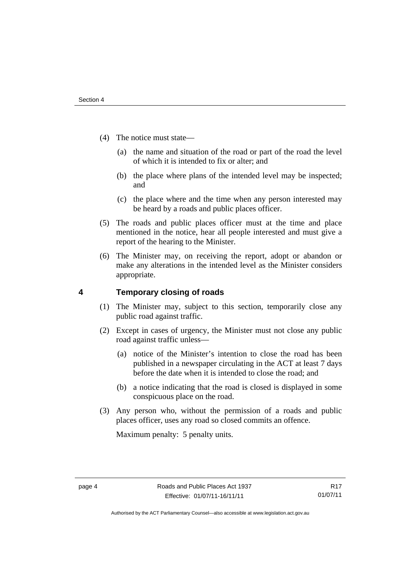- (4) The notice must state—
	- (a) the name and situation of the road or part of the road the level of which it is intended to fix or alter; and
	- (b) the place where plans of the intended level may be inspected; and
	- (c) the place where and the time when any person interested may be heard by a roads and public places officer.
- (5) The roads and public places officer must at the time and place mentioned in the notice, hear all people interested and must give a report of the hearing to the Minister.
- (6) The Minister may, on receiving the report, adopt or abandon or make any alterations in the intended level as the Minister considers appropriate.

# <span id="page-9-0"></span>**4 Temporary closing of roads**

- (1) The Minister may, subject to this section, temporarily close any public road against traffic.
- (2) Except in cases of urgency, the Minister must not close any public road against traffic unless—
	- (a) notice of the Minister's intention to close the road has been published in a newspaper circulating in the ACT at least 7 days before the date when it is intended to close the road; and
	- (b) a notice indicating that the road is closed is displayed in some conspicuous place on the road.
- (3) Any person who, without the permission of a roads and public places officer, uses any road so closed commits an offence.

Maximum penalty: 5 penalty units.

Authorised by the ACT Parliamentary Counsel—also accessible at www.legislation.act.gov.au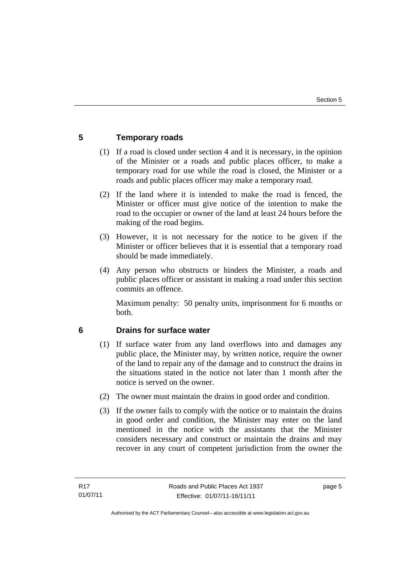# <span id="page-10-0"></span>**5 Temporary roads**

- (1) If a road is closed under section 4 and it is necessary, in the opinion of the Minister or a roads and public places officer, to make a temporary road for use while the road is closed, the Minister or a roads and public places officer may make a temporary road.
- (2) If the land where it is intended to make the road is fenced, the Minister or officer must give notice of the intention to make the road to the occupier or owner of the land at least 24 hours before the making of the road begins.
- (3) However, it is not necessary for the notice to be given if the Minister or officer believes that it is essential that a temporary road should be made immediately.
- (4) Any person who obstructs or hinders the Minister, a roads and public places officer or assistant in making a road under this section commits an offence.

Maximum penalty: 50 penalty units, imprisonment for 6 months or both.

# <span id="page-10-1"></span>**6 Drains for surface water**

- (1) If surface water from any land overflows into and damages any public place, the Minister may, by written notice, require the owner of the land to repair any of the damage and to construct the drains in the situations stated in the notice not later than 1 month after the notice is served on the owner.
- (2) The owner must maintain the drains in good order and condition.
- (3) If the owner fails to comply with the notice or to maintain the drains in good order and condition, the Minister may enter on the land mentioned in the notice with the assistants that the Minister considers necessary and construct or maintain the drains and may recover in any court of competent jurisdiction from the owner the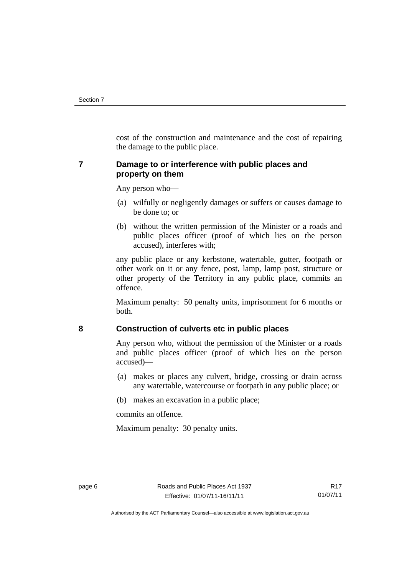cost of the construction and maintenance and the cost of repairing the damage to the public place.

# <span id="page-11-0"></span>**7 Damage to or interference with public places and property on them**

Any person who—

- (a) wilfully or negligently damages or suffers or causes damage to be done to; or
- (b) without the written permission of the Minister or a roads and public places officer (proof of which lies on the person accused), interferes with;

any public place or any kerbstone, watertable, gutter, footpath or other work on it or any fence, post, lamp, lamp post, structure or other property of the Territory in any public place, commits an offence.

Maximum penalty: 50 penalty units, imprisonment for 6 months or both.

# <span id="page-11-1"></span>**8 Construction of culverts etc in public places**

Any person who, without the permission of the Minister or a roads and public places officer (proof of which lies on the person accused)—

- (a) makes or places any culvert, bridge, crossing or drain across any watertable, watercourse or footpath in any public place; or
- (b) makes an excavation in a public place;

commits an offence.

Maximum penalty: 30 penalty units.

Authorised by the ACT Parliamentary Counsel—also accessible at www.legislation.act.gov.au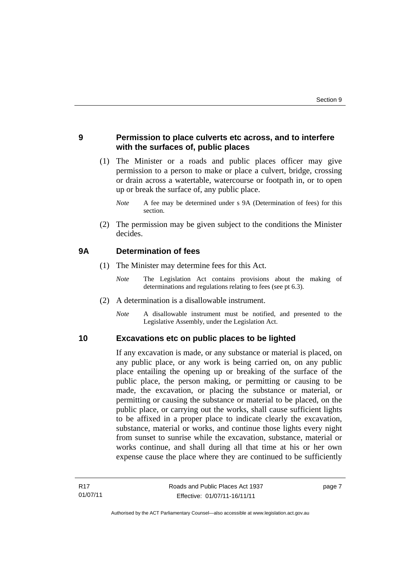# <span id="page-12-0"></span>**9 Permission to place culverts etc across, and to interfere with the surfaces of, public places**

 (1) The Minister or a roads and public places officer may give permission to a person to make or place a culvert, bridge, crossing or drain across a watertable, watercourse or footpath in, or to open up or break the surface of, any public place.

 (2) The permission may be given subject to the conditions the Minister decides.

# <span id="page-12-1"></span>**9A Determination of fees**

- (1) The Minister may determine fees for this Act.
	- *Note* The Legislation Act contains provisions about the making of determinations and regulations relating to fees (see pt 6.3).
- (2) A determination is a disallowable instrument.
	- *Note* A disallowable instrument must be notified, and presented to the Legislative Assembly, under the Legislation Act.

#### <span id="page-12-2"></span>**10 Excavations etc on public places to be lighted**

If any excavation is made, or any substance or material is placed, on any public place, or any work is being carried on, on any public place entailing the opening up or breaking of the surface of the public place, the person making, or permitting or causing to be made, the excavation, or placing the substance or material, or permitting or causing the substance or material to be placed, on the public place, or carrying out the works, shall cause sufficient lights to be affixed in a proper place to indicate clearly the excavation, substance, material or works, and continue those lights every night from sunset to sunrise while the excavation, substance, material or works continue, and shall during all that time at his or her own expense cause the place where they are continued to be sufficiently

*Note* A fee may be determined under s 9A (Determination of fees) for this section.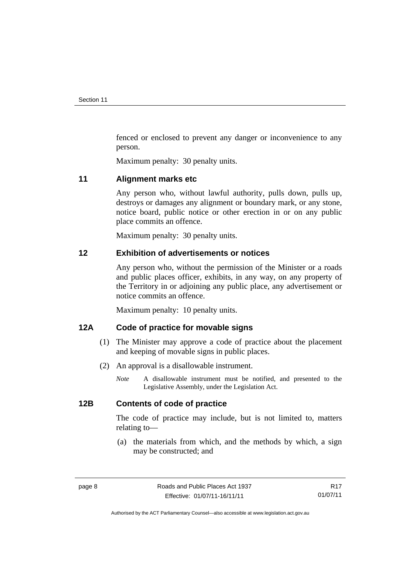fenced or enclosed to prevent any danger or inconvenience to any person.

Maximum penalty: 30 penalty units.

#### <span id="page-13-0"></span>**11 Alignment marks etc**

Any person who, without lawful authority, pulls down, pulls up, destroys or damages any alignment or boundary mark, or any stone, notice board, public notice or other erection in or on any public place commits an offence.

Maximum penalty: 30 penalty units.

# <span id="page-13-1"></span>**12 Exhibition of advertisements or notices**

Any person who, without the permission of the Minister or a roads and public places officer, exhibits, in any way, on any property of the Territory in or adjoining any public place, any advertisement or notice commits an offence.

Maximum penalty: 10 penalty units.

# <span id="page-13-2"></span>**12A Code of practice for movable signs**

- (1) The Minister may approve a code of practice about the placement and keeping of movable signs in public places.
- (2) An approval is a disallowable instrument.
	- *Note* A disallowable instrument must be notified, and presented to the Legislative Assembly, under the Legislation Act.

#### <span id="page-13-3"></span>**12B Contents of code of practice**

The code of practice may include, but is not limited to, matters relating to—

 (a) the materials from which, and the methods by which, a sign may be constructed; and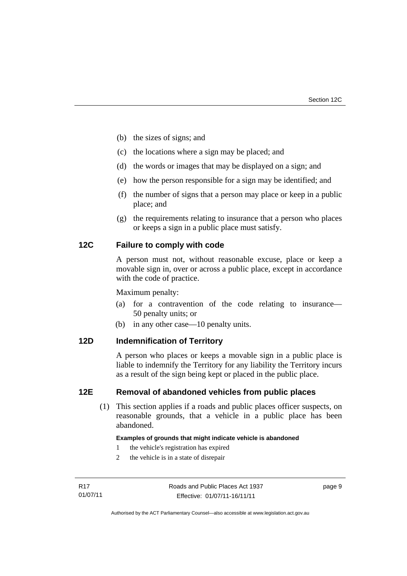- (b) the sizes of signs; and
- (c) the locations where a sign may be placed; and
- (d) the words or images that may be displayed on a sign; and
- (e) how the person responsible for a sign may be identified; and
- (f) the number of signs that a person may place or keep in a public place; and
- (g) the requirements relating to insurance that a person who places or keeps a sign in a public place must satisfy.

# <span id="page-14-0"></span>**12C Failure to comply with code**

A person must not, without reasonable excuse, place or keep a movable sign in, over or across a public place, except in accordance with the code of practice.

Maximum penalty:

- (a) for a contravention of the code relating to insurance— 50 penalty units; or
- (b) in any other case—10 penalty units.

# <span id="page-14-1"></span>**12D Indemnification of Territory**

A person who places or keeps a movable sign in a public place is liable to indemnify the Territory for any liability the Territory incurs as a result of the sign being kept or placed in the public place.

# <span id="page-14-2"></span>**12E Removal of abandoned vehicles from public places**

 (1) This section applies if a roads and public places officer suspects, on reasonable grounds, that a vehicle in a public place has been abandoned.

#### **Examples of grounds that might indicate vehicle is abandoned**

- 1 the vehicle's registration has expired
- 2 the vehicle is in a state of disrepair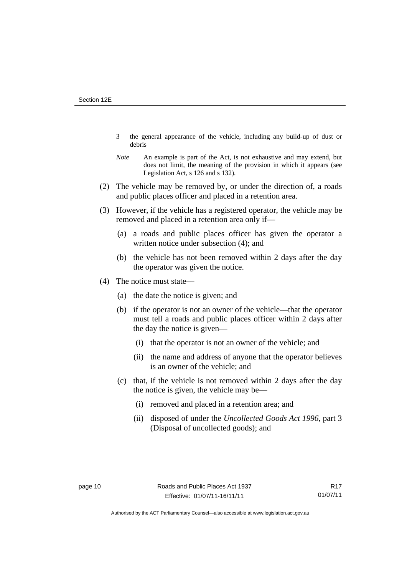- 3 the general appearance of the vehicle, including any build-up of dust or debris
- *Note* An example is part of the Act, is not exhaustive and may extend, but does not limit, the meaning of the provision in which it appears (see Legislation Act, s 126 and s 132).
- (2) The vehicle may be removed by, or under the direction of, a roads and public places officer and placed in a retention area.
- (3) However, if the vehicle has a registered operator, the vehicle may be removed and placed in a retention area only if—
	- (a) a roads and public places officer has given the operator a written notice under subsection (4); and
	- (b) the vehicle has not been removed within 2 days after the day the operator was given the notice.
- (4) The notice must state––
	- (a) the date the notice is given; and
	- (b) if the operator is not an owner of the vehicle––that the operator must tell a roads and public places officer within 2 days after the day the notice is given––
		- (i) that the operator is not an owner of the vehicle; and
		- (ii) the name and address of anyone that the operator believes is an owner of the vehicle; and
	- (c) that, if the vehicle is not removed within 2 days after the day the notice is given, the vehicle may be––
		- (i) removed and placed in a retention area; and
		- (ii) disposed of under the *Uncollected Goods Act 1996*, part 3 (Disposal of uncollected goods); and

Authorised by the ACT Parliamentary Counsel—also accessible at www.legislation.act.gov.au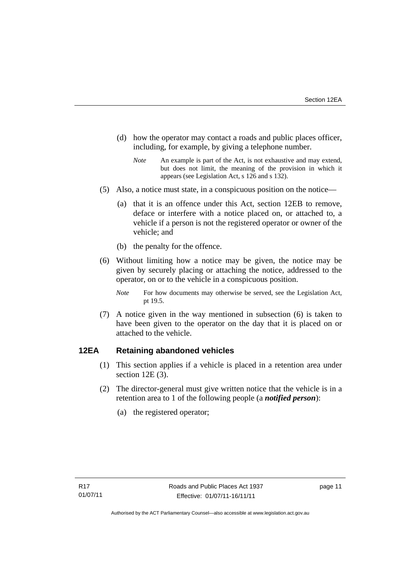- (d) how the operator may contact a roads and public places officer, including, for example, by giving a telephone number.
	- *Note* An example is part of the Act, is not exhaustive and may extend, but does not limit, the meaning of the provision in which it appears (see Legislation Act, s 126 and s 132).
- (5) Also, a notice must state, in a conspicuous position on the notice—
	- (a) that it is an offence under this Act, section 12EB to remove, deface or interfere with a notice placed on, or attached to, a vehicle if a person is not the registered operator or owner of the vehicle; and
	- (b) the penalty for the offence.
- (6) Without limiting how a notice may be given, the notice may be given by securely placing or attaching the notice, addressed to the operator, on or to the vehicle in a conspicuous position.
	- *Note* For how documents may otherwise be served, see the Legislation Act, pt 19.5.
- (7) A notice given in the way mentioned in subsection (6) is taken to have been given to the operator on the day that it is placed on or attached to the vehicle.

# <span id="page-16-0"></span>**12EA Retaining abandoned vehicles**

- (1) This section applies if a vehicle is placed in a retention area under section 12E (3).
- (2) The director-general must give written notice that the vehicle is in a retention area to 1 of the following people (a *notified person*):
	- (a) the registered operator;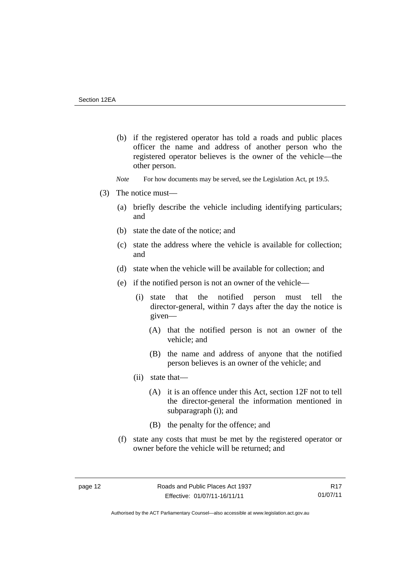- (b) if the registered operator has told a roads and public places officer the name and address of another person who the registered operator believes is the owner of the vehicle—the other person.
- *Note* For how documents may be served, see the Legislation Act, pt 19.5.
- (3) The notice must––
	- (a) briefly describe the vehicle including identifying particulars; and
	- (b) state the date of the notice; and
	- (c) state the address where the vehicle is available for collection; and
	- (d) state when the vehicle will be available for collection; and
	- (e) if the notified person is not an owner of the vehicle—
		- (i) state that the notified person must tell the director-general, within 7 days after the day the notice is given—
			- (A) that the notified person is not an owner of the vehicle; and
			- (B) the name and address of anyone that the notified person believes is an owner of the vehicle; and
		- (ii) state that—
			- (A) it is an offence under this Act, section 12F not to tell the director-general the information mentioned in subparagraph (i); and
			- (B) the penalty for the offence; and
	- (f) state any costs that must be met by the registered operator or owner before the vehicle will be returned; and

R17 01/07/11

Authorised by the ACT Parliamentary Counsel—also accessible at www.legislation.act.gov.au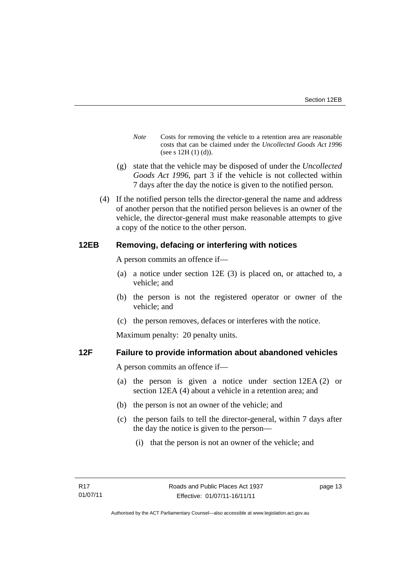- *Note* Costs for removing the vehicle to a retention area are reasonable costs that can be claimed under the *Uncollected Goods Act 1996* (see s 12H (1) (d)).
- (g) state that the vehicle may be disposed of under the *Uncollected Goods Act 1996*, part 3 if the vehicle is not collected within 7 days after the day the notice is given to the notified person.
- (4) If the notified person tells the director-general the name and address of another person that the notified person believes is an owner of the vehicle, the director-general must make reasonable attempts to give a copy of the notice to the other person.

# <span id="page-18-0"></span>**12EB Removing, defacing or interfering with notices**

A person commits an offence if—

- (a) a notice under section 12E (3) is placed on, or attached to, a vehicle; and
- (b) the person is not the registered operator or owner of the vehicle; and
- (c) the person removes, defaces or interferes with the notice.

Maximum penalty: 20 penalty units.

#### <span id="page-18-1"></span>**12F Failure to provide information about abandoned vehicles**

A person commits an offence if––

- (a) the person is given a notice under section 12EA (2) or section 12EA (4) about a vehicle in a retention area; and
- (b) the person is not an owner of the vehicle; and
- (c) the person fails to tell the director-general, within 7 days after the day the notice is given to the person––
	- (i) that the person is not an owner of the vehicle; and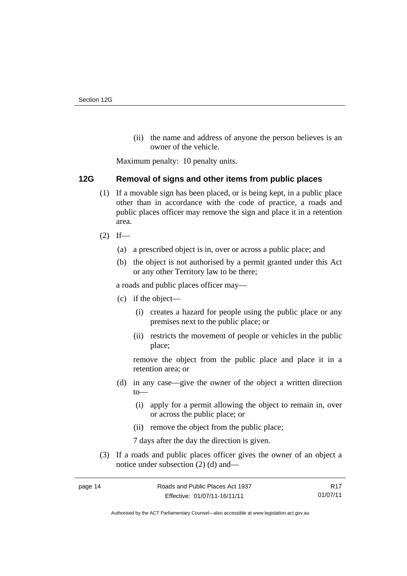(ii) the name and address of anyone the person believes is an owner of the vehicle.

Maximum penalty: 10 penalty units.

# <span id="page-19-0"></span>**12G Removal of signs and other items from public places**

- (1) If a movable sign has been placed, or is being kept, in a public place other than in accordance with the code of practice, a roads and public places officer may remove the sign and place it in a retention area.
- $(2)$  If—
	- (a) a prescribed object is in, over or across a public place; and
	- (b) the object is not authorised by a permit granted under this Act or any other Territory law to be there;

a roads and public places officer may—

- (c) if the object—
	- (i) creates a hazard for people using the public place or any premises next to the public place; or
	- (ii) restricts the movement of people or vehicles in the public place;

remove the object from the public place and place it in a retention area; or

- (d) in any case—give the owner of the object a written direction to—
	- (i) apply for a permit allowing the object to remain in, over or across the public place; or
	- (ii) remove the object from the public place;

7 days after the day the direction is given.

 (3) If a roads and public places officer gives the owner of an object a notice under subsection (2) (d) and—

R17 01/07/11

Authorised by the ACT Parliamentary Counsel—also accessible at www.legislation.act.gov.au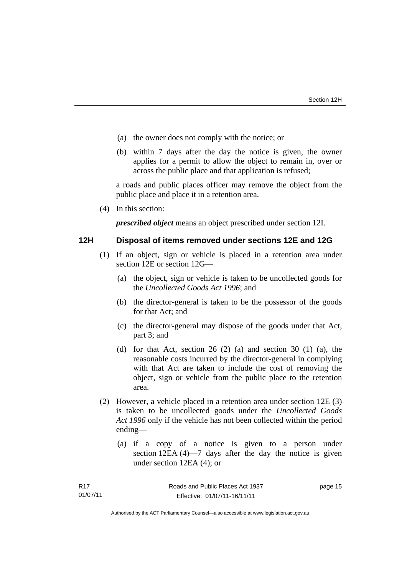- (a) the owner does not comply with the notice; or
- (b) within 7 days after the day the notice is given, the owner applies for a permit to allow the object to remain in, over or across the public place and that application is refused;

a roads and public places officer may remove the object from the public place and place it in a retention area.

(4) In this section:

*prescribed object* means an object prescribed under section 12I.

#### <span id="page-20-0"></span>**12H Disposal of items removed under sections 12E and 12G**

- (1) If an object, sign or vehicle is placed in a retention area under section 12E or section 12G—
	- (a) the object, sign or vehicle is taken to be uncollected goods for the *Uncollected Goods Act 1996*; and
	- (b) the director-general is taken to be the possessor of the goods for that Act; and
	- (c) the director-general may dispose of the goods under that Act, part 3; and
	- (d) for that Act, section 26 (2) (a) and section 30 (1) (a), the reasonable costs incurred by the director-general in complying with that Act are taken to include the cost of removing the object, sign or vehicle from the public place to the retention area.
- (2) However, a vehicle placed in a retention area under section 12E (3) is taken to be uncollected goods under the *Uncollected Goods Act 1996* only if the vehicle has not been collected within the period ending––
	- (a) if a copy of a notice is given to a person under section 12EA (4)—7 days after the day the notice is given under section 12EA (4); or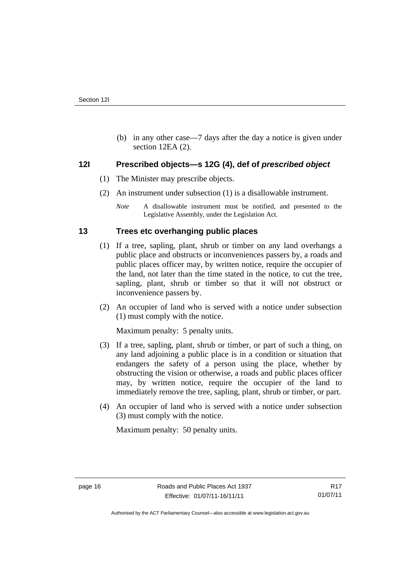(b) in any other case––7 days after the day a notice is given under section 12EA (2).

# <span id="page-21-0"></span>**12I Prescribed objects—s 12G (4), def of** *prescribed object*

- (1) The Minister may prescribe objects.
- (2) An instrument under subsection (1) is a disallowable instrument.

# <span id="page-21-1"></span>**13 Trees etc overhanging public places**

- (1) If a tree, sapling, plant, shrub or timber on any land overhangs a public place and obstructs or inconveniences passers by, a roads and public places officer may, by written notice, require the occupier of the land, not later than the time stated in the notice, to cut the tree, sapling, plant, shrub or timber so that it will not obstruct or inconvenience passers by.
- (2) An occupier of land who is served with a notice under subsection (1) must comply with the notice.

Maximum penalty: 5 penalty units.

- (3) If a tree, sapling, plant, shrub or timber, or part of such a thing, on any land adjoining a public place is in a condition or situation that endangers the safety of a person using the place, whether by obstructing the vision or otherwise, a roads and public places officer may, by written notice, require the occupier of the land to immediately remove the tree, sapling, plant, shrub or timber, or part.
- (4) An occupier of land who is served with a notice under subsection (3) must comply with the notice.

Maximum penalty: 50 penalty units.

*Note* A disallowable instrument must be notified, and presented to the Legislative Assembly, under the Legislation Act.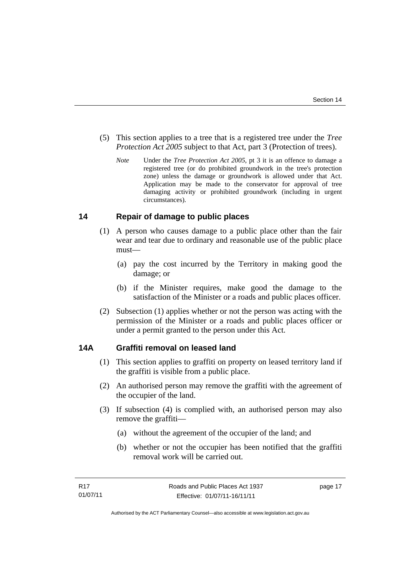- (5) This section applies to a tree that is a registered tree under the *Tree Protection Act 2005* subject to that Act, part 3 (Protection of trees).
	- *Note* Under the *Tree Protection Act 2005*, pt 3 it is an offence to damage a registered tree (or do prohibited groundwork in the tree's protection zone) unless the damage or groundwork is allowed under that Act. Application may be made to the conservator for approval of tree damaging activity or prohibited groundwork (including in urgent circumstances).

# <span id="page-22-0"></span>**14 Repair of damage to public places**

- (1) A person who causes damage to a public place other than the fair wear and tear due to ordinary and reasonable use of the public place must—
	- (a) pay the cost incurred by the Territory in making good the damage; or
	- (b) if the Minister requires, make good the damage to the satisfaction of the Minister or a roads and public places officer.
- (2) Subsection (1) applies whether or not the person was acting with the permission of the Minister or a roads and public places officer or under a permit granted to the person under this Act.

# <span id="page-22-1"></span>**14A Graffiti removal on leased land**

- (1) This section applies to graffiti on property on leased territory land if the graffiti is visible from a public place.
- (2) An authorised person may remove the graffiti with the agreement of the occupier of the land.
- (3) If subsection (4) is complied with, an authorised person may also remove the graffiti—
	- (a) without the agreement of the occupier of the land; and
	- (b) whether or not the occupier has been notified that the graffiti removal work will be carried out.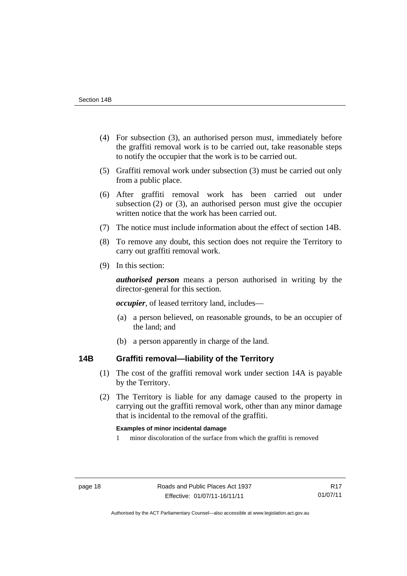- (4) For subsection (3), an authorised person must, immediately before the graffiti removal work is to be carried out, take reasonable steps to notify the occupier that the work is to be carried out.
- (5) Graffiti removal work under subsection (3) must be carried out only from a public place.
- (6) After graffiti removal work has been carried out under subsection (2) or (3), an authorised person must give the occupier written notice that the work has been carried out.
- (7) The notice must include information about the effect of section 14B.
- (8) To remove any doubt, this section does not require the Territory to carry out graffiti removal work.
- (9) In this section:

*authorised person* means a person authorised in writing by the director-general for this section.

*occupier*, of leased territory land, includes—

- (a) a person believed, on reasonable grounds, to be an occupier of the land; and
- (b) a person apparently in charge of the land.

# <span id="page-23-0"></span>**14B Graffiti removal—liability of the Territory**

- (1) The cost of the graffiti removal work under section 14A is payable by the Territory.
- (2) The Territory is liable for any damage caused to the property in carrying out the graffiti removal work, other than any minor damage that is incidental to the removal of the graffiti.

#### **Examples of minor incidental damage**

1 minor discoloration of the surface from which the graffiti is removed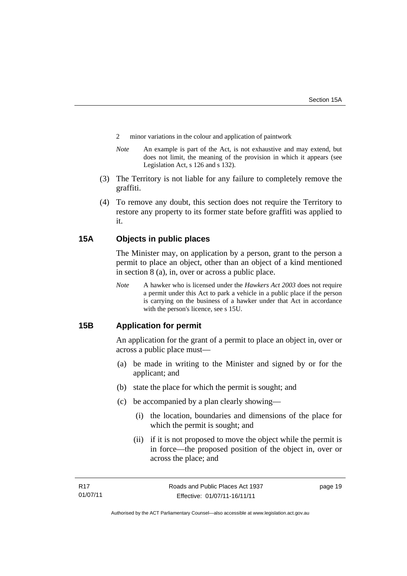- 2 minor variations in the colour and application of paintwork
- *Note* An example is part of the Act, is not exhaustive and may extend, but does not limit, the meaning of the provision in which it appears (see Legislation Act, s 126 and s 132).
- (3) The Territory is not liable for any failure to completely remove the graffiti.
- (4) To remove any doubt, this section does not require the Territory to restore any property to its former state before graffiti was applied to it.

# <span id="page-24-0"></span>**15A Objects in public places**

The Minister may, on application by a person, grant to the person a permit to place an object, other than an object of a kind mentioned in section 8 (a), in, over or across a public place.

*Note* A hawker who is licensed under the *Hawkers Act 2003* does not require a permit under this Act to park a vehicle in a public place if the person is carrying on the business of a hawker under that Act in accordance with the person's licence, see s 15U.

# <span id="page-24-1"></span>**15B Application for permit**

An application for the grant of a permit to place an object in, over or across a public place must—

- (a) be made in writing to the Minister and signed by or for the applicant; and
- (b) state the place for which the permit is sought; and
- (c) be accompanied by a plan clearly showing—
	- (i) the location, boundaries and dimensions of the place for which the permit is sought; and
	- (ii) if it is not proposed to move the object while the permit is in force—the proposed position of the object in, over or across the place; and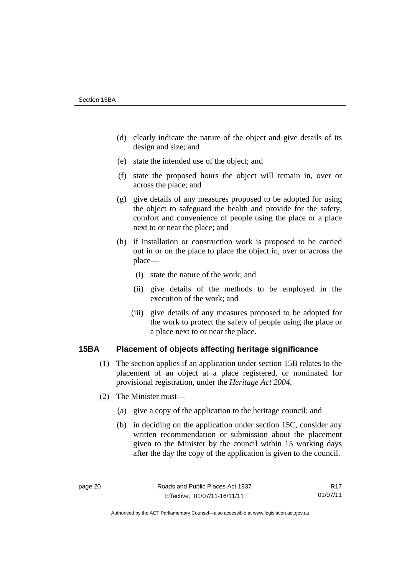- (d) clearly indicate the nature of the object and give details of its design and size; and
- (e) state the intended use of the object; and
- (f) state the proposed hours the object will remain in, over or across the place; and
- (g) give details of any measures proposed to be adopted for using the object to safeguard the health and provide for the safety, comfort and convenience of people using the place or a place next to or near the place; and
- (h) if installation or construction work is proposed to be carried out in or on the place to place the object in, over or across the place—
	- (i) state the nature of the work; and
	- (ii) give details of the methods to be employed in the execution of the work; and
	- (iii) give details of any measures proposed to be adopted for the work to protect the safety of people using the place or a place next to or near the place.

# <span id="page-25-0"></span>**15BA Placement of objects affecting heritage significance**

- (1) The section applies if an application under section 15B relates to the placement of an object at a place registered, or nominated for provisional registration, under the *Heritage Act 2004*.
- (2) The Minister must—
	- (a) give a copy of the application to the heritage council; and
	- (b) in deciding on the application under section 15C, consider any written recommendation or submission about the placement given to the Minister by the council within 15 working days after the day the copy of the application is given to the council.

R17 01/07/11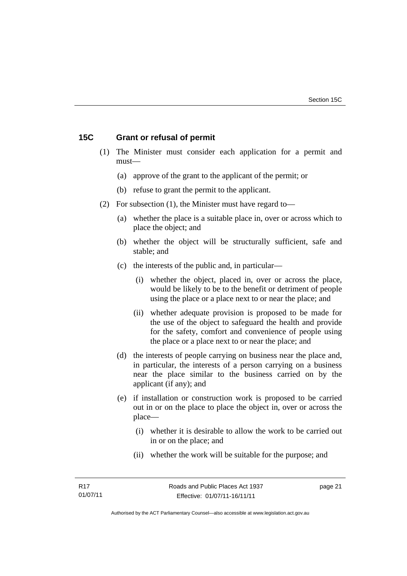# <span id="page-26-0"></span>**15C Grant or refusal of permit**

- (1) The Minister must consider each application for a permit and must—
	- (a) approve of the grant to the applicant of the permit; or
	- (b) refuse to grant the permit to the applicant.
- (2) For subsection (1), the Minister must have regard to—
	- (a) whether the place is a suitable place in, over or across which to place the object; and
	- (b) whether the object will be structurally sufficient, safe and stable; and
	- (c) the interests of the public and, in particular—
		- (i) whether the object, placed in, over or across the place, would be likely to be to the benefit or detriment of people using the place or a place next to or near the place; and
		- (ii) whether adequate provision is proposed to be made for the use of the object to safeguard the health and provide for the safety, comfort and convenience of people using the place or a place next to or near the place; and
	- (d) the interests of people carrying on business near the place and, in particular, the interests of a person carrying on a business near the place similar to the business carried on by the applicant (if any); and
	- (e) if installation or construction work is proposed to be carried out in or on the place to place the object in, over or across the place—
		- (i) whether it is desirable to allow the work to be carried out in or on the place; and
		- (ii) whether the work will be suitable for the purpose; and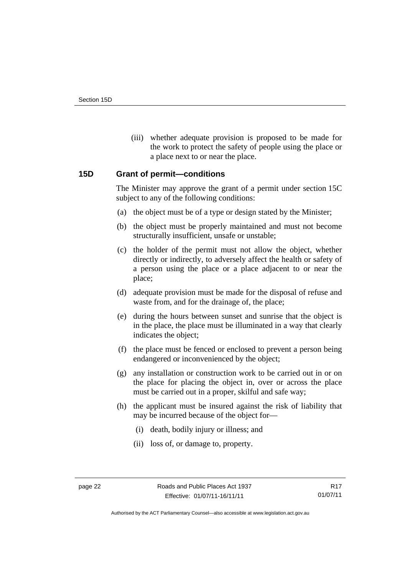(iii) whether adequate provision is proposed to be made for the work to protect the safety of people using the place or a place next to or near the place.

# <span id="page-27-0"></span>**15D Grant of permit—conditions**

The Minister may approve the grant of a permit under section 15C subject to any of the following conditions:

- (a) the object must be of a type or design stated by the Minister;
- (b) the object must be properly maintained and must not become structurally insufficient, unsafe or unstable;
- (c) the holder of the permit must not allow the object, whether directly or indirectly, to adversely affect the health or safety of a person using the place or a place adjacent to or near the place;
- (d) adequate provision must be made for the disposal of refuse and waste from, and for the drainage of, the place;
- (e) during the hours between sunset and sunrise that the object is in the place, the place must be illuminated in a way that clearly indicates the object;
- (f) the place must be fenced or enclosed to prevent a person being endangered or inconvenienced by the object;
- (g) any installation or construction work to be carried out in or on the place for placing the object in, over or across the place must be carried out in a proper, skilful and safe way;
- (h) the applicant must be insured against the risk of liability that may be incurred because of the object for—
	- (i) death, bodily injury or illness; and
	- (ii) loss of, or damage to, property.

Authorised by the ACT Parliamentary Counsel—also accessible at www.legislation.act.gov.au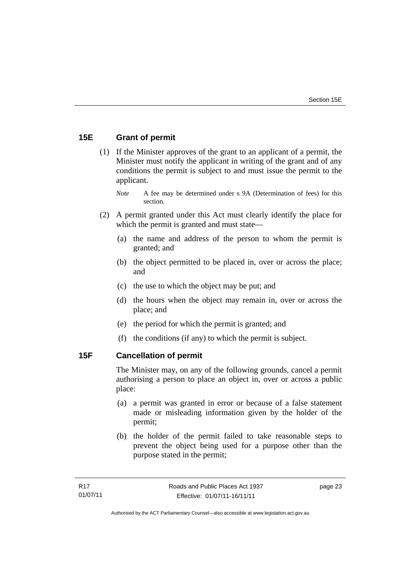# <span id="page-28-0"></span>**15E Grant of permit**

 (1) If the Minister approves of the grant to an applicant of a permit, the Minister must notify the applicant in writing of the grant and of any conditions the permit is subject to and must issue the permit to the applicant.

*Note* A fee may be determined under s 9A (Determination of fees) for this section.

- (2) A permit granted under this Act must clearly identify the place for which the permit is granted and must state—
	- (a) the name and address of the person to whom the permit is granted; and
	- (b) the object permitted to be placed in, over or across the place; and
	- (c) the use to which the object may be put; and
	- (d) the hours when the object may remain in, over or across the place; and
	- (e) the period for which the permit is granted; and
	- (f) the conditions (if any) to which the permit is subject.

# <span id="page-28-1"></span>**15F Cancellation of permit**

The Minister may, on any of the following grounds, cancel a permit authorising a person to place an object in, over or across a public place:

- (a) a permit was granted in error or because of a false statement made or misleading information given by the holder of the permit;
- (b) the holder of the permit failed to take reasonable steps to prevent the object being used for a purpose other than the purpose stated in the permit;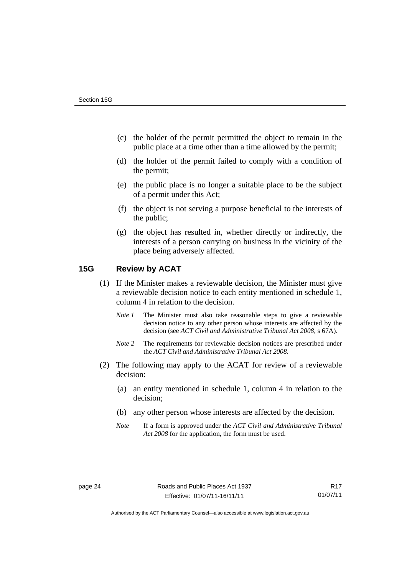- (c) the holder of the permit permitted the object to remain in the public place at a time other than a time allowed by the permit;
- (d) the holder of the permit failed to comply with a condition of the permit;
- (e) the public place is no longer a suitable place to be the subject of a permit under this Act;
- (f) the object is not serving a purpose beneficial to the interests of the public;
- (g) the object has resulted in, whether directly or indirectly, the interests of a person carrying on business in the vicinity of the place being adversely affected.

# <span id="page-29-0"></span>**15G Review by ACAT**

- (1) If the Minister makes a reviewable decision, the Minister must give a reviewable decision notice to each entity mentioned in schedule 1, column 4 in relation to the decision.
	- *Note 1* The Minister must also take reasonable steps to give a reviewable decision notice to any other person whose interests are affected by the decision (see *ACT Civil and Administrative Tribunal Act 2008*, s 67A).
	- *Note* 2 The requirements for reviewable decision notices are prescribed under the *ACT Civil and Administrative Tribunal Act 2008*.
- (2) The following may apply to the ACAT for review of a reviewable decision:
	- (a) an entity mentioned in schedule 1, column 4 in relation to the decision;
	- (b) any other person whose interests are affected by the decision.
	- *Note* If a form is approved under the *ACT Civil and Administrative Tribunal Act 2008* for the application, the form must be used.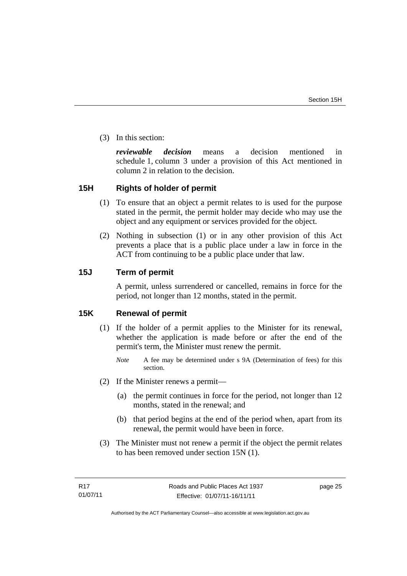(3) In this section:

*reviewable decision* means a decision mentioned in schedule 1, column 3 under a provision of this Act mentioned in column 2 in relation to the decision.

# <span id="page-30-0"></span>**15H Rights of holder of permit**

- (1) To ensure that an object a permit relates to is used for the purpose stated in the permit, the permit holder may decide who may use the object and any equipment or services provided for the object.
- (2) Nothing in subsection (1) or in any other provision of this Act prevents a place that is a public place under a law in force in the ACT from continuing to be a public place under that law.

# <span id="page-30-1"></span>**15J Term of permit**

A permit, unless surrendered or cancelled, remains in force for the period, not longer than 12 months, stated in the permit.

# <span id="page-30-2"></span>**15K Renewal of permit**

- (1) If the holder of a permit applies to the Minister for its renewal, whether the application is made before or after the end of the permit's term, the Minister must renew the permit.
	- *Note* A fee may be determined under s 9A (Determination of fees) for this section.
- (2) If the Minister renews a permit—
	- (a) the permit continues in force for the period, not longer than 12 months, stated in the renewal; and
	- (b) that period begins at the end of the period when, apart from its renewal, the permit would have been in force.
- (3) The Minister must not renew a permit if the object the permit relates to has been removed under section 15N (1).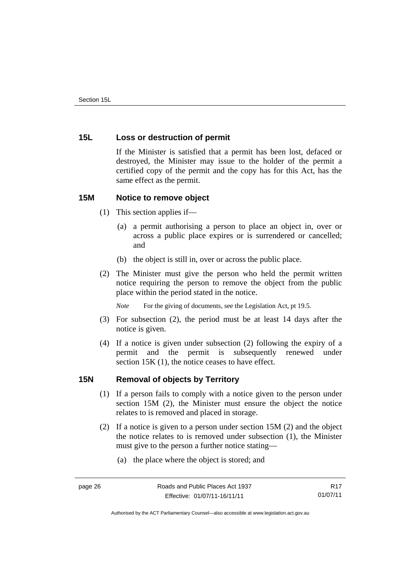# <span id="page-31-0"></span>**15L Loss or destruction of permit**

If the Minister is satisfied that a permit has been lost, defaced or destroyed, the Minister may issue to the holder of the permit a certified copy of the permit and the copy has for this Act, has the same effect as the permit.

# <span id="page-31-1"></span>**15M Notice to remove object**

- (1) This section applies if—
	- (a) a permit authorising a person to place an object in, over or across a public place expires or is surrendered or cancelled; and
	- (b) the object is still in, over or across the public place.
- (2) The Minister must give the person who held the permit written notice requiring the person to remove the object from the public place within the period stated in the notice.

*Note* For the giving of documents, see the Legislation Act, pt 19.5.

- (3) For subsection (2), the period must be at least 14 days after the notice is given.
- (4) If a notice is given under subsection (2) following the expiry of a permit and the permit is subsequently renewed under section 15K (1), the notice ceases to have effect.

# <span id="page-31-2"></span>**15N Removal of objects by Territory**

- (1) If a person fails to comply with a notice given to the person under section 15M (2), the Minister must ensure the object the notice relates to is removed and placed in storage.
- (2) If a notice is given to a person under section 15M (2) and the object the notice relates to is removed under subsection (1), the Minister must give to the person a further notice stating—
	- (a) the place where the object is stored; and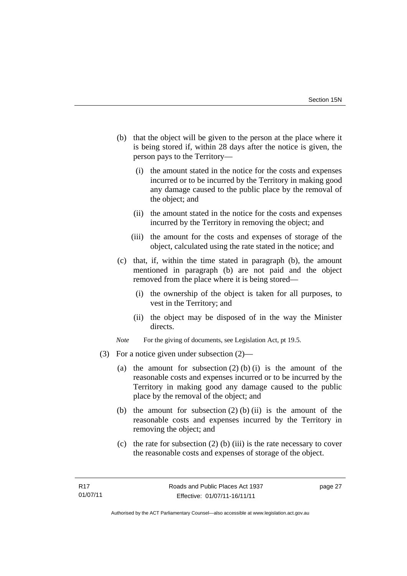- (b) that the object will be given to the person at the place where it is being stored if, within 28 days after the notice is given, the person pays to the Territory—
	- (i) the amount stated in the notice for the costs and expenses incurred or to be incurred by the Territory in making good any damage caused to the public place by the removal of the object; and
	- (ii) the amount stated in the notice for the costs and expenses incurred by the Territory in removing the object; and
	- (iii) the amount for the costs and expenses of storage of the object, calculated using the rate stated in the notice; and
- (c) that, if, within the time stated in paragraph (b), the amount mentioned in paragraph (b) are not paid and the object removed from the place where it is being stored—
	- (i) the ownership of the object is taken for all purposes, to vest in the Territory; and
	- (ii) the object may be disposed of in the way the Minister directs.
- *Note* For the giving of documents, see Legislation Act, pt 19.5.
- (3) For a notice given under subsection (2)—
	- (a) the amount for subsection  $(2)$  (b) (i) is the amount of the reasonable costs and expenses incurred or to be incurred by the Territory in making good any damage caused to the public place by the removal of the object; and
	- (b) the amount for subsection  $(2)$  (b) (ii) is the amount of the reasonable costs and expenses incurred by the Territory in removing the object; and
	- (c) the rate for subsection  $(2)$  (b) (iii) is the rate necessary to cover the reasonable costs and expenses of storage of the object.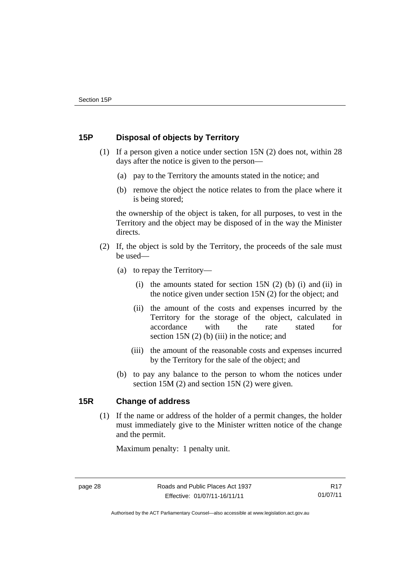# <span id="page-33-0"></span>**15P Disposal of objects by Territory**

- (1) If a person given a notice under section 15N (2) does not, within 28 days after the notice is given to the person—
	- (a) pay to the Territory the amounts stated in the notice; and
	- (b) remove the object the notice relates to from the place where it is being stored;

the ownership of the object is taken, for all purposes, to vest in the Territory and the object may be disposed of in the way the Minister directs.

- (2) If, the object is sold by the Territory, the proceeds of the sale must be used—
	- (a) to repay the Territory—
		- (i) the amounts stated for section  $15N(2)$  (b) (i) and (ii) in the notice given under section 15N (2) for the object; and
		- (ii) the amount of the costs and expenses incurred by the Territory for the storage of the object, calculated in accordance with the rate stated for section 15N (2) (b) (iii) in the notice; and
		- (iii) the amount of the reasonable costs and expenses incurred by the Territory for the sale of the object; and
	- (b) to pay any balance to the person to whom the notices under section 15M (2) and section 15N (2) were given.

# <span id="page-33-1"></span>**15R Change of address**

 (1) If the name or address of the holder of a permit changes, the holder must immediately give to the Minister written notice of the change and the permit.

Maximum penalty: 1 penalty unit.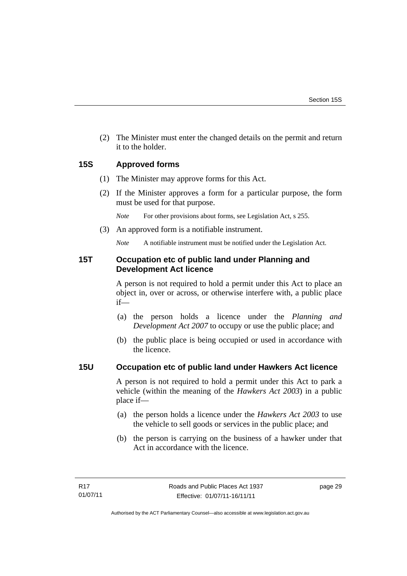(2) The Minister must enter the changed details on the permit and return it to the holder.

# <span id="page-34-0"></span>**15S Approved forms**

- (1) The Minister may approve forms for this Act.
- (2) If the Minister approves a form for a particular purpose, the form must be used for that purpose.

*Note* For other provisions about forms, see Legislation Act, s 255.

(3) An approved form is a notifiable instrument.

*Note* A notifiable instrument must be notified under the Legislation Act.

# <span id="page-34-1"></span>**15T Occupation etc of public land under Planning and Development Act licence**

A person is not required to hold a permit under this Act to place an object in, over or across, or otherwise interfere with, a public place if—

- (a) the person holds a licence under the *Planning and Development Act 2007* to occupy or use the public place; and
- (b) the public place is being occupied or used in accordance with the licence.

# <span id="page-34-2"></span>**15U Occupation etc of public land under Hawkers Act licence**

A person is not required to hold a permit under this Act to park a vehicle (within the meaning of the *Hawkers Act 2003*) in a public place if—

- (a) the person holds a licence under the *Hawkers Act 2003* to use the vehicle to sell goods or services in the public place; and
- (b) the person is carrying on the business of a hawker under that Act in accordance with the licence.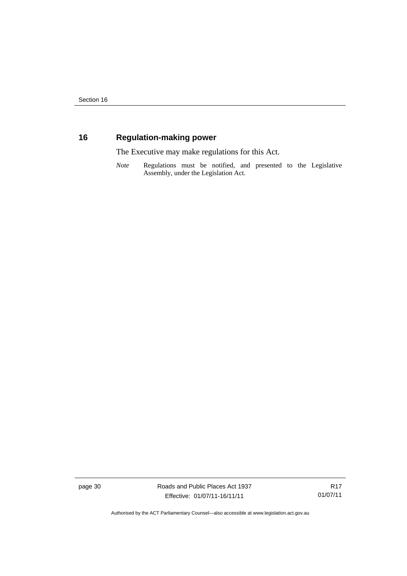# <span id="page-35-0"></span>**16 Regulation-making power**

The Executive may make regulations for this Act.

*Note* Regulations must be notified, and presented to the Legislative Assembly, under the Legislation Act.

page 30 Roads and Public Places Act 1937 Effective: 01/07/11-16/11/11

R17 01/07/11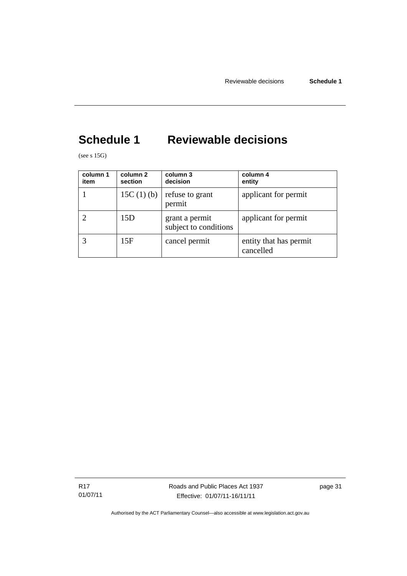# <span id="page-36-0"></span>**Schedule 1 Reviewable decisions**

(see s  $15G$ )

| column 1<br>item | column 2<br>section | column 3<br>decision                    | column 4<br>entity                  |
|------------------|---------------------|-----------------------------------------|-------------------------------------|
|                  | 15C $(1)$ $(b)$     | refuse to grant<br>permit               | applicant for permit                |
|                  | 15D                 | grant a permit<br>subject to conditions | applicant for permit                |
|                  | 15F                 | cancel permit                           | entity that has permit<br>cancelled |

R17 01/07/11 Roads and Public Places Act 1937 Effective: 01/07/11-16/11/11

page 31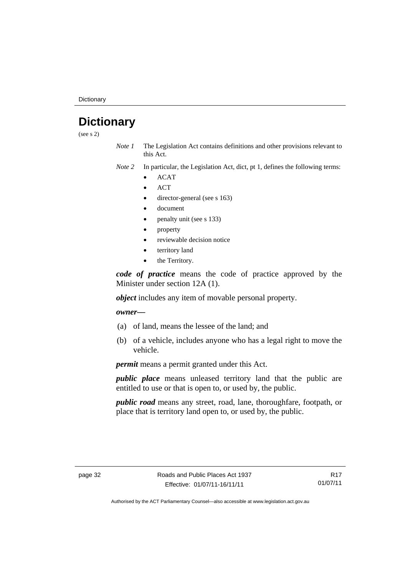**Dictionary** 

# <span id="page-37-0"></span>**Dictionary**

(see s 2)

- *Note 1* The Legislation Act contains definitions and other provisions relevant to this Act.
- *Note 2* In particular, the Legislation Act, dict, pt 1, defines the following terms:
	- ACAT
	- **ACT**
	- director-general (see s 163)
	- document
	- penalty unit (see s 133)
	- property
	- reviewable decision notice
	- territory land
	- the Territory.

*code of practice* means the code of practice approved by the Minister under section 12A (1).

*object* includes any item of movable personal property.

#### *owner––*

- (a) of land, means the lessee of the land; and
- (b) of a vehicle, includes anyone who has a legal right to move the vehicle.

*permit* means a permit granted under this Act.

*public place* means unleased territory land that the public are entitled to use or that is open to, or used by, the public.

*public road* means any street, road, lane, thoroughfare, footpath, or place that is territory land open to, or used by, the public.

R17 01/07/11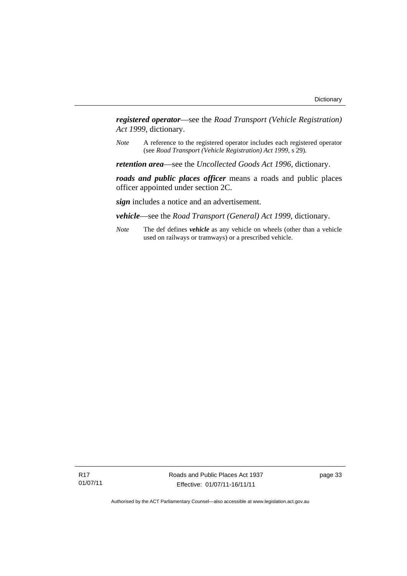*registered operator*––see the *Road Transport (Vehicle Registration) Act 1999*, dictionary.

*Note* A reference to the registered operator includes each registered operator (see *Road Transport (Vehicle Registration) Act 1999*, s 29).

*retention area*—see the *Uncollected Goods Act 1996*, dictionary.

*roads and public places officer* means a roads and public places officer appointed under section 2C.

*sign* includes a notice and an advertisement.

*vehicle*—see the *Road Transport (General) Act 1999*, dictionary.

*Note* The def defines *vehicle* as any vehicle on wheels (other than a vehicle used on railways or tramways) or a prescribed vehicle.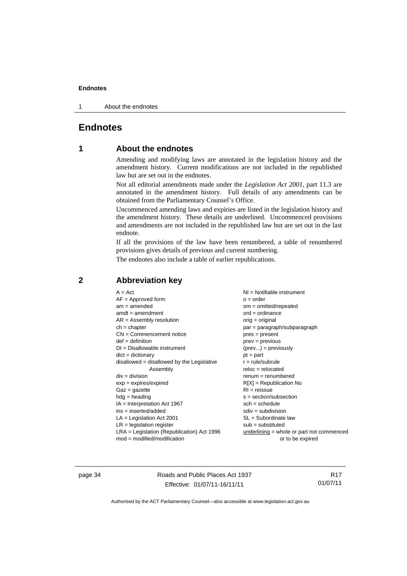1 About the endnotes

# <span id="page-39-0"></span>**Endnotes**

# **1 About the endnotes**

Amending and modifying laws are annotated in the legislation history and the amendment history. Current modifications are not included in the republished law but are set out in the endnotes.

Not all editorial amendments made under the *Legislation Act 2001*, part 11.3 are annotated in the amendment history. Full details of any amendments can be obtained from the Parliamentary Counsel's Office.

Uncommenced amending laws and expiries are listed in the legislation history and the amendment history. These details are underlined. Uncommenced provisions and amendments are not included in the republished law but are set out in the last endnote.

If all the provisions of the law have been renumbered, a table of renumbered provisions gives details of previous and current numbering.

The endnotes also include a table of earlier republications.

# <span id="page-39-2"></span>**2 Abbreviation key**

page 34 Roads and Public Places Act 1937 Effective: 01/07/11-16/11/11

R17 01/07/11

<span id="page-39-1"></span>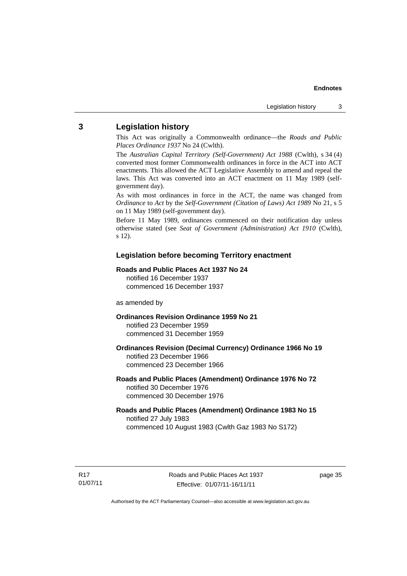#### <span id="page-40-0"></span>**3 Legislation history**

This Act was originally a Commonwealth ordinance—the *Roads and Public Places Ordinance 1937* No 24 (Cwlth).

The *Australian Capital Territory (Self-Government) Act 1988* (Cwlth), s 34 (4) converted most former Commonwealth ordinances in force in the ACT into ACT enactments. This allowed the ACT Legislative Assembly to amend and repeal the laws. This Act was converted into an ACT enactment on 11 May 1989 (selfgovernment day).

As with most ordinances in force in the ACT, the name was changed from *Ordinance* to *Act* by the *Self-Government (Citation of Laws) Act 1989* No 21, s 5 on 11 May 1989 (self-government day).

Before 11 May 1989, ordinances commenced on their notification day unless otherwise stated (see *Seat of Government (Administration) Act 1910* (Cwlth), s 12).

#### **Legislation before becoming Territory enactment**

#### **Roads and Public Places Act 1937 No 24**

notified 16 December 1937 commenced 16 December 1937

#### as amended by

**Ordinances Revision Ordinance 1959 No 21**  notified 23 December 1959 commenced 31 December 1959

**Ordinances Revision (Decimal Currency) Ordinance 1966 No 19**  notified 23 December 1966 commenced 23 December 1966

#### **Roads and Public Places (Amendment) Ordinance 1976 No 72**  notified 30 December 1976 commenced 30 December 1976

#### **Roads and Public Places (Amendment) Ordinance 1983 No 15**  notified 27 July 1983 commenced 10 August 1983 (Cwlth Gaz 1983 No S172)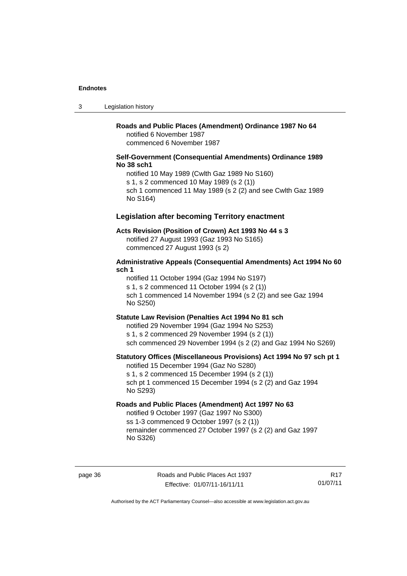3 Legislation history

# **Roads and Public Places (Amendment) Ordinance 1987 No 64**

notified 6 November 1987 commenced 6 November 1987

#### **Self-Government (Consequential Amendments) Ordinance 1989 No 38 sch1**

notified 10 May 1989 (Cwlth Gaz 1989 No S160) s 1, s 2 commenced 10 May 1989 (s 2 (1)) sch 1 commenced 11 May 1989 (s 2 (2) and see Cwlth Gaz 1989 No S164)

#### **Legislation after becoming Territory enactment**

#### **Acts Revision (Position of Crown) Act 1993 No 44 s 3**

notified 27 August 1993 (Gaz 1993 No S165) commenced 27 August 1993 (s 2)

#### **Administrative Appeals (Consequential Amendments) Act 1994 No 60 sch 1**

notified 11 October 1994 (Gaz 1994 No S197)

s 1, s 2 commenced 11 October 1994 (s 2 (1))

sch 1 commenced 14 November 1994 (s 2 (2) and see Gaz 1994 No S250)

#### **Statute Law Revision (Penalties Act 1994 No 81 sch**

notified 29 November 1994 (Gaz 1994 No S253) s 1, s 2 commenced 29 November 1994 (s 2 (1)) sch commenced 29 November 1994 (s 2 (2) and Gaz 1994 No S269)

#### **Statutory Offices (Miscellaneous Provisions) Act 1994 No 97 sch pt 1**

notified 15 December 1994 (Gaz No S280) s 1, s 2 commenced 15 December 1994 (s 2 (1)) sch pt 1 commenced 15 December 1994 (s 2 (2) and Gaz 1994 No S293)

#### **Roads and Public Places (Amendment) Act 1997 No 63**

notified 9 October 1997 (Gaz 1997 No S300) ss 1-3 commenced 9 October 1997 (s 2 (1)) remainder commenced 27 October 1997 (s 2 (2) and Gaz 1997 No S326)

R17 01/07/11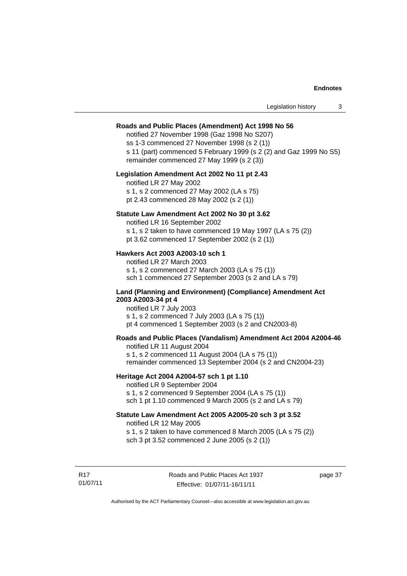#### **Roads and Public Places (Amendment) Act 1998 No 56**

notified 27 November 1998 (Gaz 1998 No S207) ss 1-3 commenced 27 November 1998 (s 2 (1)) s 11 (part) commenced 5 February 1999 (s 2 (2) and Gaz 1999 No S5) remainder commenced 27 May 1999 (s 2 (3))

#### **Legislation Amendment Act 2002 No 11 pt 2.43**

notified LR 27 May 2002 s 1, s 2 commenced 27 May 2002 (LA s 75) pt 2.43 commenced 28 May 2002 (s 2 (1))

#### **Statute Law Amendment Act 2002 No 30 pt 3.62**

notified LR 16 September 2002 s 1, s 2 taken to have commenced 19 May 1997 (LA s 75 (2)) pt 3.62 commenced 17 September 2002 (s 2 (1))

#### **Hawkers Act 2003 A2003-10 sch 1**

notified LR 27 March 2003 s 1, s 2 commenced 27 March 2003 (LA s 75 (1)) sch 1 commenced 27 September 2003 (s 2 and LA s 79)

#### **Land (Planning and Environment) (Compliance) Amendment Act 2003 A2003-34 pt 4**

notified LR 7 July 2003 s 1, s 2 commenced 7 July 2003 (LA s 75 (1)) pt 4 commenced 1 September 2003 (s 2 and CN2003-8)

#### **Roads and Public Places (Vandalism) Amendment Act 2004 A2004-46**

notified LR 11 August 2004 s 1, s 2 commenced 11 August 2004 (LA s 75 (1)) remainder commenced 13 September 2004 (s 2 and CN2004-23)

#### **Heritage Act 2004 A2004-57 sch 1 pt 1.10**

notified LR 9 September 2004 s 1, s 2 commenced 9 September 2004 (LA s 75 (1)) sch 1 pt 1.10 commenced 9 March 2005 (s 2 and LA s 79)

#### **Statute Law Amendment Act 2005 A2005-20 sch 3 pt 3.52**

notified LR 12 May 2005 s 1, s 2 taken to have commenced 8 March 2005 (LA s 75 (2)) sch 3 pt 3.52 commenced 2 June 2005 (s 2 (1))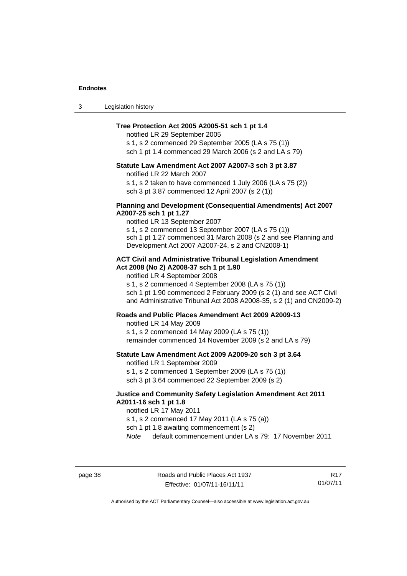3 Legislation history

#### **Tree Protection Act 2005 A2005-51 sch 1 pt 1.4**

notified LR 29 September 2005

s 1, s 2 commenced 29 September 2005 (LA s 75 (1))

sch 1 pt 1.4 commenced 29 March 2006 (s 2 and LA s 79)

# **Statute Law Amendment Act 2007 A2007-3 sch 3 pt 3.87**

notified LR 22 March 2007

s 1, s 2 taken to have commenced 1 July 2006 (LA s 75 (2)) sch 3 pt 3.87 commenced 12 April 2007 (s 2 (1))

#### **Planning and Development (Consequential Amendments) Act 2007 A2007-25 sch 1 pt 1.27**

notified LR 13 September 2007 s 1, s 2 commenced 13 September 2007 (LA s 75 (1)) sch 1 pt 1.27 commenced 31 March 2008 (s 2 and see Planning and Development Act 2007 A2007-24, s 2 and CN2008-1)

#### **ACT Civil and Administrative Tribunal Legislation Amendment Act 2008 (No 2) A2008-37 sch 1 pt 1.90**

notified LR 4 September 2008

s 1, s 2 commenced 4 September 2008 (LA s 75 (1)) sch 1 pt 1.90 commenced 2 February 2009 (s 2 (1) and see ACT Civil and Administrative Tribunal Act 2008 A2008-35, s 2 (1) and CN2009-2)

#### **Roads and Public Places Amendment Act 2009 A2009-13**

notified LR 14 May 2009

s 1, s 2 commenced 14 May 2009 (LA s 75 (1)) remainder commenced 14 November 2009 (s 2 and LA s 79)

#### **Statute Law Amendment Act 2009 A2009-20 sch 3 pt 3.64**

notified LR 1 September 2009 s 1, s 2 commenced 1 September 2009 (LA s 75 (1)) sch 3 pt 3.64 commenced 22 September 2009 (s 2)

#### **Justice and Community Safety Legislation Amendment Act 2011 A2011-16 sch 1 pt 1.8**

notified LR 17 May 2011 s 1, s 2 commenced 17 May 2011 (LA s 75 (a)) sch 1 pt 1.8 awaiting commencement (s 2) *Note* default commencement under LA s 79: 17 November 2011

R17 01/07/11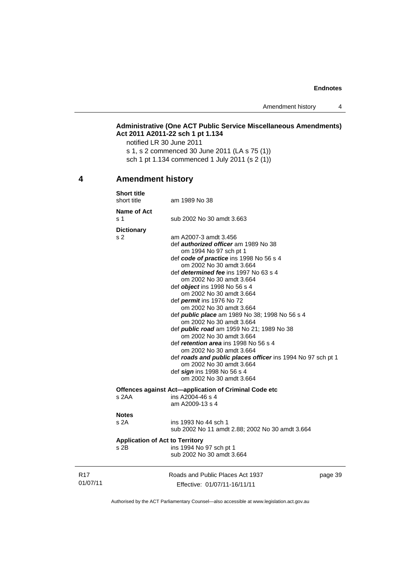Amendment history 4

#### **Administrative (One ACT Public Service Miscellaneous Amendments) Act 2011 A2011-22 sch 1 pt 1.134**

notified LR 30 June 2011 s 1, s 2 commenced 30 June 2011 (LA s 75 (1)) sch 1 pt 1.134 commenced 1 July 2011 (s 2 (1))

# <span id="page-44-0"></span>**4 Amendment history**

|                             | <b>Short title</b><br>short title      | am 1989 No 38                                                                                                                                                                                                                                                                                                                                                                                                                                                                                                                                                                                                                                                                                                                                                                  |         |
|-----------------------------|----------------------------------------|--------------------------------------------------------------------------------------------------------------------------------------------------------------------------------------------------------------------------------------------------------------------------------------------------------------------------------------------------------------------------------------------------------------------------------------------------------------------------------------------------------------------------------------------------------------------------------------------------------------------------------------------------------------------------------------------------------------------------------------------------------------------------------|---------|
|                             | Name of Act<br>s 1                     | sub 2002 No 30 amdt 3.663                                                                                                                                                                                                                                                                                                                                                                                                                                                                                                                                                                                                                                                                                                                                                      |         |
|                             | <b>Dictionary</b>                      |                                                                                                                                                                                                                                                                                                                                                                                                                                                                                                                                                                                                                                                                                                                                                                                |         |
|                             | s 2                                    | am A2007-3 amdt 3.456<br>def <i>authorized officer</i> am 1989 No 38<br>om 1994 No 97 sch pt 1<br>def code of practice ins 1998 No 56 s 4<br>om 2002 No 30 amdt 3.664<br>def <i>determined fee</i> ins 1997 No 63 s 4<br>om 2002 No 30 amdt 3.664<br>def <i>object</i> ins 1998 No 56 s 4<br>om 2002 No 30 amdt 3.664<br>def permit ins 1976 No 72<br>om 2002 No 30 amdt 3.664<br>def <i>public place</i> am 1989 No 38; 1998 No 56 s 4<br>om 2002 No 30 amdt 3.664<br>def <b>public road</b> am 1959 No 21; 1989 No 38<br>om 2002 No 30 amdt 3.664<br>def retention area ins 1998 No 56 s 4<br>om 2002 No 30 amdt 3.664<br>def roads and public places officer ins 1994 No 97 sch pt 1<br>om 2002 No 30 amdt 3.664<br>def sign ins 1998 No 56 s 4<br>om 2002 No 30 amdt 3.664 |         |
|                             |                                        | Offences against Act-application of Criminal Code etc                                                                                                                                                                                                                                                                                                                                                                                                                                                                                                                                                                                                                                                                                                                          |         |
|                             | s 2AA                                  | ins A2004-46 s 4<br>am A2009-13 s 4                                                                                                                                                                                                                                                                                                                                                                                                                                                                                                                                                                                                                                                                                                                                            |         |
|                             | <b>Notes</b><br>s 2A                   | ins 1993 No 44 sch 1<br>sub 2002 No 11 amdt 2.88; 2002 No 30 amdt 3.664                                                                                                                                                                                                                                                                                                                                                                                                                                                                                                                                                                                                                                                                                                        |         |
|                             | <b>Application of Act to Territory</b> |                                                                                                                                                                                                                                                                                                                                                                                                                                                                                                                                                                                                                                                                                                                                                                                |         |
|                             | s 2B                                   | ins 1994 No 97 sch pt 1<br>sub 2002 No 30 amdt 3.664                                                                                                                                                                                                                                                                                                                                                                                                                                                                                                                                                                                                                                                                                                                           |         |
| R <sub>17</sub><br>01/07/11 |                                        | Roads and Public Places Act 1937<br>Effective: 01/07/11-16/11/11                                                                                                                                                                                                                                                                                                                                                                                                                                                                                                                                                                                                                                                                                                               | page 39 |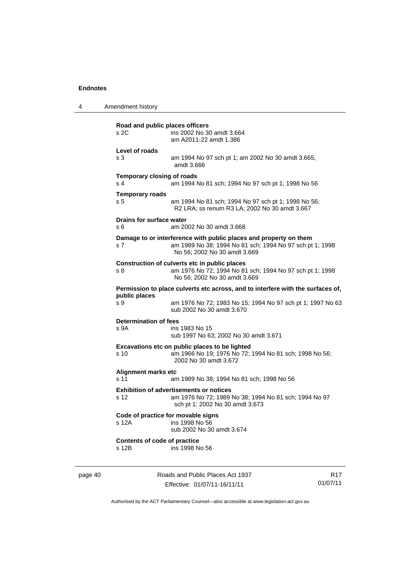| 4                                                                        | Amendment history                                                                                |                                                                                                                                                               |                 |
|--------------------------------------------------------------------------|--------------------------------------------------------------------------------------------------|---------------------------------------------------------------------------------------------------------------------------------------------------------------|-----------------|
|                                                                          | Road and public places officers<br>s2C                                                           | ins 2002 No 30 amdt 3.664<br>am A2011-22 amdt 1.386                                                                                                           |                 |
|                                                                          | Level of roads<br>s 3                                                                            | am 1994 No 97 sch pt 1; am 2002 No 30 amdt 3.665,<br>amdt 3.666                                                                                               |                 |
|                                                                          | Temporary closing of roads<br>s <sub>4</sub>                                                     | am 1994 No 81 sch; 1994 No 97 sch pt 1; 1998 No 56                                                                                                            |                 |
|                                                                          | <b>Temporary roads</b><br>s <sub>5</sub>                                                         | am 1994 No 81 sch; 1994 No 97 sch pt 1; 1998 No 56;<br>R2 LRA; ss renum R3 LA; 2002 No 30 amdt 3.667                                                          |                 |
|                                                                          | Drains for surface water<br>s 6                                                                  | am 2002 No 30 amdt 3.668                                                                                                                                      |                 |
|                                                                          | s 7                                                                                              | Damage to or interference with public places and property on them<br>am 1989 No 38; 1994 No 81 sch; 1994 No 97 sch pt 1; 1998<br>No 56; 2002 No 30 amdt 3.669 |                 |
|                                                                          | s 8                                                                                              | Construction of culverts etc in public places<br>am 1976 No 72; 1994 No 81 sch; 1994 No 97 sch pt 1; 1998<br>No 56; 2002 No 30 amdt 3.669                     |                 |
|                                                                          | Permission to place culverts etc across, and to interfere with the surfaces of,<br>public places |                                                                                                                                                               |                 |
|                                                                          | s 9                                                                                              | am 1976 No 72; 1983 No 15; 1994 No 97 sch pt 1; 1997 No 63<br>sub 2002 No 30 amdt 3.670                                                                       |                 |
|                                                                          | <b>Determination of fees</b><br>s 9A                                                             | ins 1983 No 15<br>sub 1997 No 63; 2002 No 30 amdt 3.671                                                                                                       |                 |
|                                                                          | s 10                                                                                             | Excavations etc on public places to be lighted<br>am 1966 No 19; 1976 No 72; 1994 No 81 sch; 1998 No 56;<br>2002 No 30 amdt 3.672                             |                 |
| Alignment marks etc<br>s 11<br>am 1989 No 38; 1994 No 81 sch; 1998 No 56 |                                                                                                  |                                                                                                                                                               |                 |
|                                                                          | s 12                                                                                             | <b>Exhibition of advertisements or notices</b><br>am 1976 No 72; 1989 No 38; 1994 No 81 sch; 1994 No 97<br>sch pt 1; 2002 No 30 amdt 3.673                    |                 |
|                                                                          | Code of practice for movable signs<br>s 12A                                                      | ins 1998 No 56<br>sub 2002 No 30 amdt 3.674                                                                                                                   |                 |
|                                                                          | Contents of code of practice<br>s 12B                                                            | ins 1998 No 56                                                                                                                                                |                 |
| page 40                                                                  |                                                                                                  | Roads and Public Places Act 1937                                                                                                                              | R <sub>17</sub> |

Authorised by the ACT Parliamentary Counsel—also accessible at www.legislation.act.gov.au

01/07/11

Effective: 01/07/11-16/11/11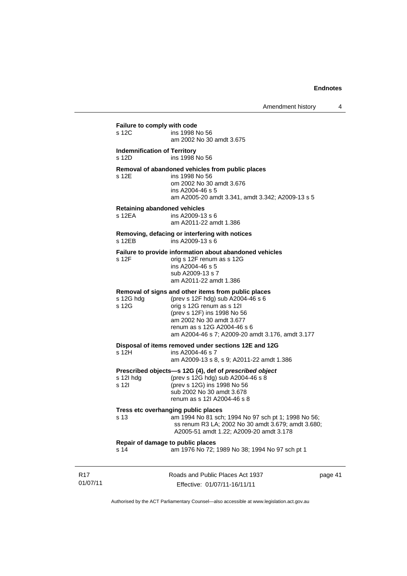| s 12C                                        | Failure to comply with code<br>ins 1998 No 56                                                                                                                                                                                                                       |
|----------------------------------------------|---------------------------------------------------------------------------------------------------------------------------------------------------------------------------------------------------------------------------------------------------------------------|
|                                              | am 2002 No 30 amdt 3.675                                                                                                                                                                                                                                            |
| <b>Indemnification of Territory</b><br>s 12D | ins 1998 No 56                                                                                                                                                                                                                                                      |
| s 12E                                        | Removal of abandoned vehicles from public places<br>ins 1998 No 56<br>om 2002 No 30 amdt 3.676<br>ins A2004-46 s 5<br>am A2005-20 amdt 3.341, amdt 3.342; A2009-13 s 5                                                                                              |
| s 12EA                                       | <b>Retaining abandoned vehicles</b><br>ins A2009-13 s 6<br>am A2011-22 amdt 1.386                                                                                                                                                                                   |
| s 12FB                                       | Removing, defacing or interfering with notices<br>ins A2009-13 s 6                                                                                                                                                                                                  |
| s 12F                                        | Failure to provide information about abandoned vehicles<br>orig s 12F renum as s 12G<br>ins A2004-46 s 5<br>sub A2009-13 s 7<br>am A2011-22 amdt 1.386                                                                                                              |
| s 12G hdg<br>s 12G                           | Removal of signs and other items from public places<br>(prev s 12F hdg) sub A2004-46 s 6<br>orig s 12G renum as s 12l<br>(prev s 12F) ins 1998 No 56<br>am 2002 No 30 amdt 3.677<br>renum as s 12G A2004-46 s 6<br>am A2004-46 s 7; A2009-20 amdt 3.176, amdt 3.177 |
| s 12H                                        | Disposal of items removed under sections 12E and 12G<br>ins A2004-46 s 7<br>am A2009-13 s 8, s 9; A2011-22 amdt 1.386                                                                                                                                               |
| s 12l hdg<br>s 12l                           | Prescribed objects-s 12G (4), def of prescribed object<br>(prev s 12G hdg) sub A2004-46 s 8<br>(prev s 12G) ins 1998 No 56<br>sub 2002 No 30 amdt 3.678<br>renum as s 12l A2004-46 s 8                                                                              |
| s 13                                         | Tress etc overhanging public places<br>am 1994 No 81 sch; 1994 No 97 sch pt 1; 1998 No 56;<br>ss renum R3 LA; 2002 No 30 amdt 3.679; amdt 3.680;<br>A2005-51 amdt 1.22; A2009-20 amdt 3.178                                                                         |
|                                              | Repair of damage to public places                                                                                                                                                                                                                                   |

R17 01/07/11 Roads and Public Places Act 1937 Effective: 01/07/11-16/11/11

page 41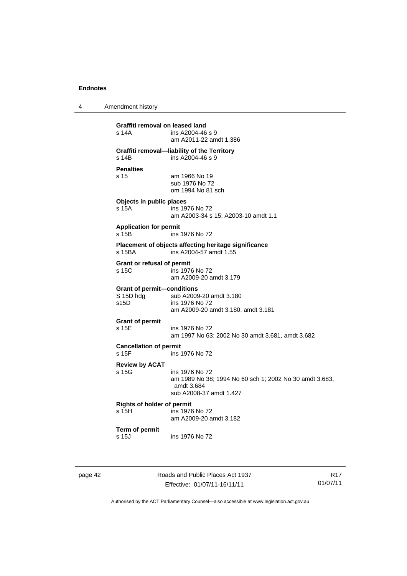4 Amendment history

**Graffiti removal on leased land**  ins A2004-46 s 9 am A2011-22 amdt 1.386 **Graffiti removal—liability of the Territory**   $ins A2004-46 s 9$ **Penalties**  s 15 am 1966 No 19 sub 1976 No 72 om 1994 No 81 sch **Objects in public places**  s 15A ins 1976 No 72 am A2003-34 s 15; A2003-10 amdt 1.1 **Application for permit**  s 15B ins 1976 No 72 **Placement of objects affecting heritage significance**  s 15BA ins A2004-57 amdt 1.55 **Grant or refusal of permit**  s 15C ins 1976 No 72 am A2009-20 amdt 3.179 **Grant of permit—conditions**  sub A2009-20 amdt 3.180 s15D ins 1976 No 72 am A2009-20 amdt 3.180, amdt 3.181 **Grant of permit**  s 15E ins 1976 No 72 am 1997 No 63; 2002 No 30 amdt 3.681, amdt 3.682 **Cancellation of permit**  s 15F ins 1976 No 72 **Review by ACAT**  s 15G ins 1976 No 72 am 1989 No 38; 1994 No 60 sch 1; 2002 No 30 amdt 3.683, amdt 3.684 sub A2008-37 amdt 1.427 **Rights of holder of permit**  ins 1976 No 72 am A2009-20 amdt 3.182 **Term of permit**  s 15J ins 1976 No 72

page 42 Roads and Public Places Act 1937 Effective: 01/07/11-16/11/11

R17 01/07/11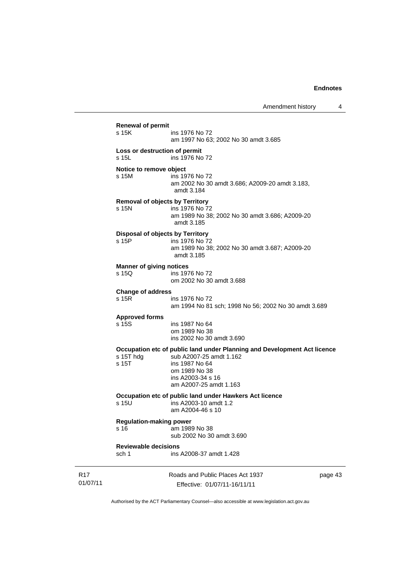Roads and Public Places Act 1937 page 43 **Renewal of permit**  ins 1976 No 72 am 1997 No 63; 2002 No 30 amdt 3.685 **Loss or destruction of permit**  s 15L ins 1976 No 72 **Notice to remove object**  s 15M ins 1976 No 72 am 2002 No 30 amdt 3.686; A2009-20 amdt 3.183, amdt 3.184 **Removal of objects by Territory**  s 15N ins 1976 No 72 am 1989 No 38; 2002 No 30 amdt 3.686; A2009-20 amdt 3.185 **Disposal of objects by Territory**  s 15P ins 1976 No 72 am 1989 No 38; 2002 No 30 amdt 3.687; A2009-20 amdt 3.185 **Manner of giving notices**<br> **s** 150 **ins** 197 ins 1976 No 72 om 2002 No 30 amdt 3.688 **Change of address**  s 15R ins 1976 No 72 am 1994 No 81 sch; 1998 No 56; 2002 No 30 amdt 3.689 **Approved forms**  s 15S ins 1987 No 64 om 1989 No 38 ins 2002 No 30 amdt 3.690 **Occupation etc of public land under Planning and Development Act licence**  s 15T hdg sub A2007-25 amdt 1.162<br>s 15T ins 1987 No 64 ins 1987 No 64 om 1989 No 38 ins A2003-34 s 16 am A2007-25 amdt 1.163 **Occupation etc of public land under Hawkers Act licence**  s 15U ins A2003-10 amdt 1.2 am A2004-46 s 10 **Regulation-making power**  s 16 am 1989 No 38 sub 2002 No 30 amdt 3.690 **Reviewable decisions**  sch 1 ins A2008-37 amdt 1.428

01/07/11

R17

Effective: 01/07/11-16/11/11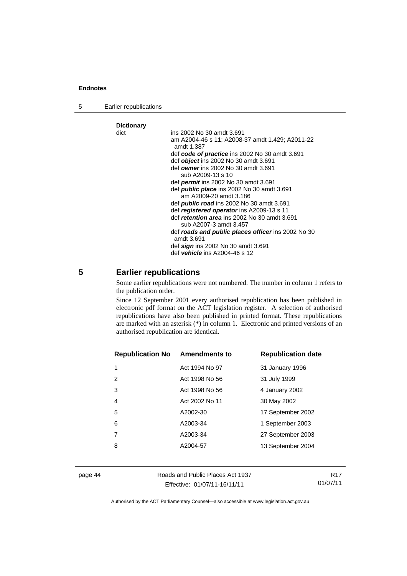5 Earlier republications

| <b>Dictionary</b> |                                                                  |
|-------------------|------------------------------------------------------------------|
| dict              | ins 2002 No 30 amdt 3.691                                        |
|                   | am A2004-46 s 11; A2008-37 amdt 1.429; A2011-22<br>amdt 1.387    |
|                   | def code of practice ins 2002 No 30 amdt 3.691                   |
|                   | def <i>object</i> ins 2002 No 30 amdt 3.691                      |
|                   | def owner ins 2002 No 30 amdt 3.691                              |
|                   | sub A2009-13 s 10                                                |
|                   | def <i>permit</i> ins 2002 No 30 amdt 3.691                      |
|                   | def <b>public place</b> ins 2002 No 30 amdt 3.691                |
|                   | am A2009-20 amdt 3.186                                           |
|                   | def <b>public road</b> ins 2002 No 30 amdt 3.691                 |
|                   | def registered operator ins A2009-13 s 11                        |
|                   | def <i>retention area</i> ins 2002 No 30 amdt 3.691              |
|                   | sub A2007-3 amdt 3.457                                           |
|                   | def roads and public places officer ins 2002 No 30<br>amdt 3.691 |
|                   | def sign ins 2002 No 30 amdt 3.691                               |
|                   | def <i>vehicle</i> ins A2004-46 s 12                             |

# <span id="page-49-0"></span>**5 Earlier republications**

Some earlier republications were not numbered. The number in column 1 refers to the publication order.

Since 12 September 2001 every authorised republication has been published in electronic pdf format on the ACT legislation register. A selection of authorised republications have also been published in printed format. These republications are marked with an asterisk (\*) in column 1. Electronic and printed versions of an authorised republication are identical.

| <b>Republication No Amendments to</b> |                | <b>Republication date</b> |
|---------------------------------------|----------------|---------------------------|
| 1                                     | Act 1994 No 97 | 31 January 1996           |
| 2                                     | Act 1998 No 56 | 31 July 1999              |
| 3                                     | Act 1998 No 56 | 4 January 2002            |
| 4                                     | Act 2002 No 11 | 30 May 2002               |
| 5                                     | A2002-30       | 17 September 2002         |
| 6                                     | A2003-34       | 1 September 2003          |
|                                       | A2003-34       | 27 September 2003         |
| 8                                     | A2004-57       | 13 September 2004         |
|                                       |                |                           |

page 44 Roads and Public Places Act 1937 Effective: 01/07/11-16/11/11

R17 01/07/11